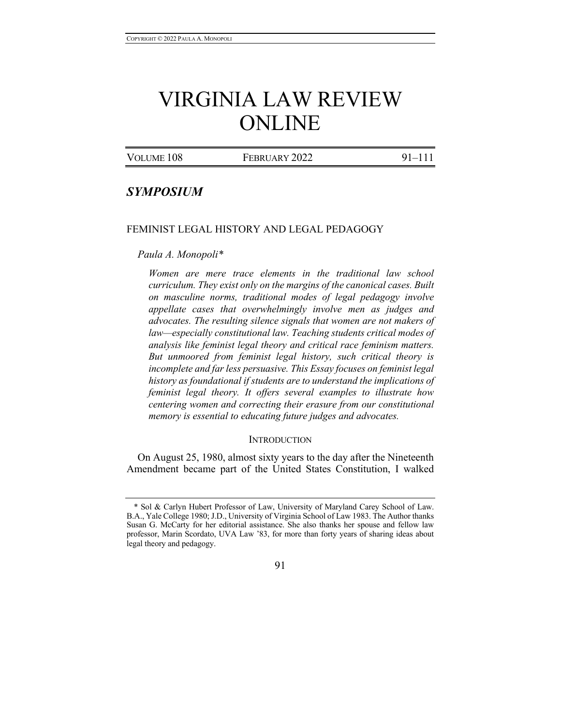# VIRGINIA LAW REVIEW ONLINE

| VOLUME 108 | FEBRUARY 2022 | $91 - 111$ |
|------------|---------------|------------|
|            |               |            |

# *SYMPOSIUM*

#### FEMINIST LEGAL HISTORY AND LEGAL PEDAGOGY

#### *Paula A. Monopoli\**

*Women are mere trace elements in the traditional law school curriculum. They exist only on the margins of the canonical cases. Built on masculine norms, traditional modes of legal pedagogy involve appellate cases that overwhelmingly involve men as judges and advocates. The resulting silence signals that women are not makers of law—especially constitutional law. Teaching students critical modes of analysis like feminist legal theory and critical race feminism matters. But unmoored from feminist legal history, such critical theory is incomplete and far less persuasive. This Essay focuses on feminist legal history as foundational if students are to understand the implications of feminist legal theory. It offers several examples to illustrate how centering women and correcting their erasure from our constitutional memory is essential to educating future judges and advocates.*

#### **INTRODUCTION**

On August 25, 1980, almost sixty years to the day after the Nineteenth Amendment became part of the United States Constitution, I walked

#### 91

<sup>\*</sup> Sol & Carlyn Hubert Professor of Law, University of Maryland Carey School of Law. B.A., Yale College 1980; J.D., University of Virginia School of Law 1983. The Author thanks Susan G. McCarty for her editorial assistance. She also thanks her spouse and fellow law professor, Marin Scordato, UVA Law '83, for more than forty years of sharing ideas about legal theory and pedagogy.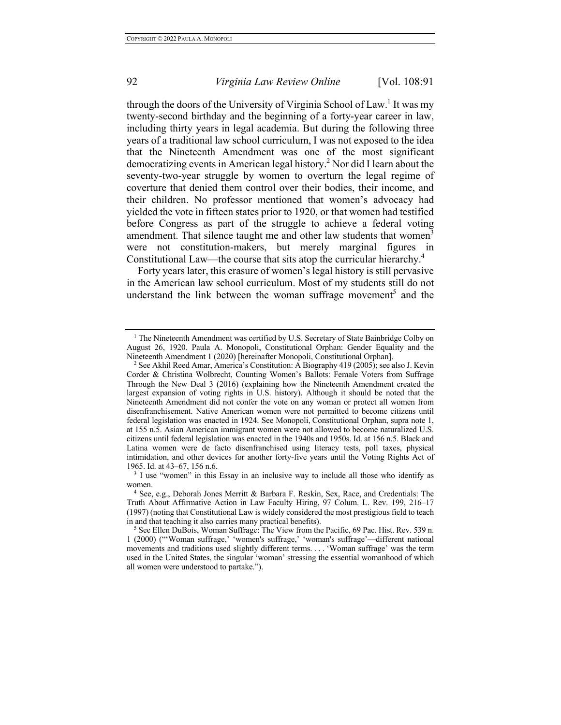through the doors of the University of Virginia School of Law.<sup>1</sup> It was my twenty-second birthday and the beginning of a forty-year career in law, including thirty years in legal academia. But during the following three years of a traditional law school curriculum, I was not exposed to the idea that the Nineteenth Amendment was one of the most significant democratizing events in American legal history. <sup>2</sup> Nor did I learn about the seventy-two-year struggle by women to overturn the legal regime of coverture that denied them control over their bodies, their income, and their children. No professor mentioned that women's advocacy had yielded the vote in fifteen states prior to 1920, or that women had testified before Congress as part of the struggle to achieve a federal voting amendment. That silence taught me and other law students that women<sup>3</sup> were not constitution-makers, but merely marginal figures in Constitutional Law—the course that sits atop the curricular hierarchy.4

Forty years later, this erasure of women's legal history is still pervasive in the American law school curriculum. Most of my students still do not understand the link between the woman suffrage movement<sup>5</sup> and the

<sup>&</sup>lt;sup>1</sup> The Nineteenth Amendment was certified by U.S. Secretary of State Bainbridge Colby on August 26, 1920. Paula A. Monopoli, Constitutional Orphan: Gender Equality and the Nineteenth Amendment 1 (2020) [hereinafter Monopoli, Constitutional Orphan].

<sup>&</sup>lt;sup>2</sup> See Akhil Reed Amar, America's Constitution: A Biography 419 (2005); see also J. Kevin Corder & Christina Wolbrecht, Counting Women's Ballots: Female Voters from Suffrage Through the New Deal 3 (2016) (explaining how the Nineteenth Amendment created the largest expansion of voting rights in U.S. history). Although it should be noted that the Nineteenth Amendment did not confer the vote on any woman or protect all women from disenfranchisement. Native American women were not permitted to become citizens until federal legislation was enacted in 1924. See Monopoli, Constitutional Orphan, supra note 1, at 155 n.5. Asian American immigrant women were not allowed to become naturalized U.S. citizens until federal legislation was enacted in the 1940s and 1950s. Id. at 156 n.5. Black and Latina women were de facto disenfranchised using literacy tests, poll taxes, physical intimidation, and other devices for another forty-five years until the Voting Rights Act of 1965. Id. at 43–67, 156 n.6.  $\frac{3}{1}$  I use "women" in this Essay in an inclusive way to include all those who identify as

women.

<sup>4</sup> See, e.g., Deborah Jones Merritt & Barbara F. Reskin, Sex, Race, and Credentials: The Truth About Affirmative Action in Law Faculty Hiring, 97 Colum. L. Rev. 199, 216–17 (1997) (noting that Constitutional Law is widely considered the most prestigious field to teach in and that teaching it also carries many practical benefits).

<sup>5</sup> See Ellen DuBois, Woman Suffrage: The View from the Pacific, 69 Pac. Hist. Rev. 539 n. 1 (2000) ("'Woman suffrage,' 'women's suffrage,' 'woman's suffrage'—different national movements and traditions used slightly different terms. . . . 'Woman suffrage' was the term used in the United States, the singular 'woman' stressing the essential womanhood of which all women were understood to partake.").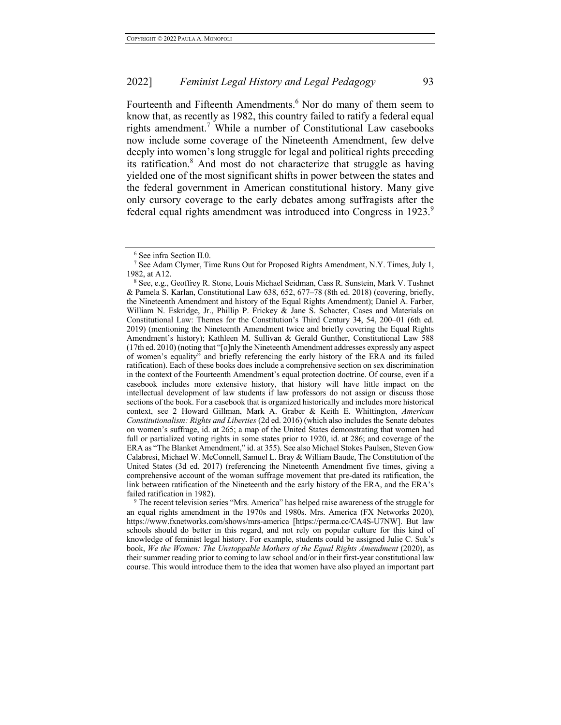Fourteenth and Fifteenth Amendments.<sup>6</sup> Nor do many of them seem to know that, as recently as 1982, this country failed to ratify a federal equal rights amendment.<sup>7</sup> While a number of Constitutional Law casebooks now include some coverage of the Nineteenth Amendment, few delve deeply into women's long struggle for legal and political rights preceding its ratification.<sup>8</sup> And most do not characterize that struggle as having yielded one of the most significant shifts in power between the states and the federal government in American constitutional history. Many give only cursory coverage to the early debates among suffragists after the federal equal rights amendment was introduced into Congress in 1923.<sup>9</sup>

<sup>9</sup> The recent television series "Mrs. America" has helped raise awareness of the struggle for an equal rights amendment in the 1970s and 1980s. Mrs. America (FX Networks 2020), https://www.fxnetworks.com/shows/mrs-america [https://perma.cc/CA4S-U7NW]. But law schools should do better in this regard, and not rely on popular culture for this kind of knowledge of feminist legal history. For example, students could be assigned Julie C. Suk's book, *We the Women: The Unstoppable Mothers of the Equal Rights Amendment* (2020), as their summer reading prior to coming to law school and/or in their first-year constitutional law course. This would introduce them to the idea that women have also played an important part

<sup>&</sup>lt;sup>6</sup> See infra Section II.0.<br><sup>7</sup> See Adam Clymer, Time Runs Out for Proposed Rights Amendment, N.Y. Times, July 1, 1982, at A12.

<sup>8</sup> See, e.g., Geoffrey R. Stone, Louis Michael Seidman, Cass R. Sunstein, Mark V. Tushnet & Pamela S. Karlan, Constitutional Law 638, 652, 677–78 (8th ed. 2018) (covering, briefly, the Nineteenth Amendment and history of the Equal Rights Amendment); Daniel A. Farber, William N. Eskridge, Jr., Phillip P. Frickey & Jane S. Schacter, Cases and Materials on Constitutional Law: Themes for the Constitution's Third Century 34, 54, 200–01 (6th ed. 2019) (mentioning the Nineteenth Amendment twice and briefly covering the Equal Rights Amendment's history); Kathleen M. Sullivan & Gerald Gunther, Constitutional Law 588 (17th ed. 2010) (noting that "[o]nly the Nineteenth Amendment addresses expressly any aspect of women's equality" and briefly referencing the early history of the ERA and its failed ratification). Each of these books does include a comprehensive section on sex discrimination in the context of the Fourteenth Amendment's equal protection doctrine. Of course, even if a casebook includes more extensive history, that history will have little impact on the intellectual development of law students if law professors do not assign or discuss those sections of the book. For a casebook that is organized historically and includes more historical context, see 2 Howard Gillman, Mark A. Graber & Keith E. Whittington, *American Constitutionalism: Rights and Liberties* (2d ed. 2016) (which also includes the Senate debates on women's suffrage, id. at 265; a map of the United States demonstrating that women had full or partialized voting rights in some states prior to 1920, id. at 286; and coverage of the ERA as "The Blanket Amendment," id. at 355). See also Michael Stokes Paulsen, Steven Gow Calabresi, Michael W. McConnell, Samuel L. Bray & William Baude, The Constitution of the United States (3d ed. 2017) (referencing the Nineteenth Amendment five times, giving a comprehensive account of the woman suffrage movement that pre-dated its ratification, the link between ratification of the Nineteenth and the early history of the ERA, and the ERA's failed ratification in 1982).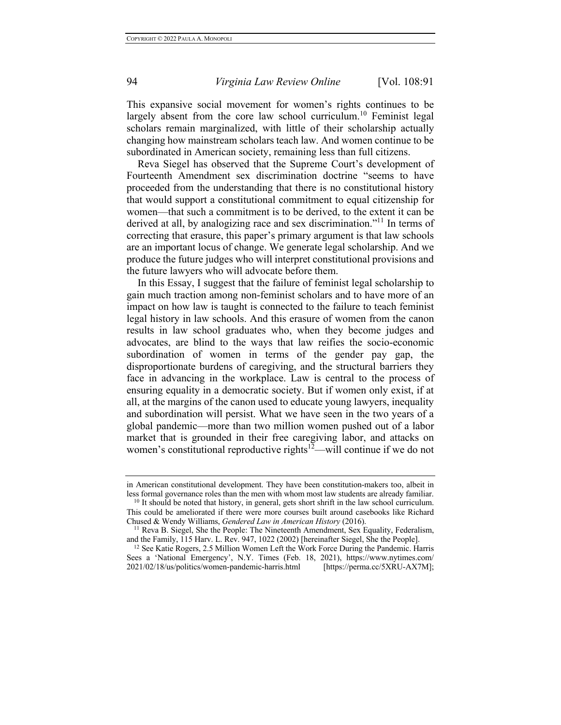This expansive social movement for women's rights continues to be largely absent from the core law school curriculum.<sup>10</sup> Feminist legal scholars remain marginalized, with little of their scholarship actually changing how mainstream scholars teach law. And women continue to be subordinated in American society, remaining less than full citizens.

Reva Siegel has observed that the Supreme Court's development of Fourteenth Amendment sex discrimination doctrine "seems to have proceeded from the understanding that there is no constitutional history that would support a constitutional commitment to equal citizenship for women—that such a commitment is to be derived, to the extent it can be derived at all, by analogizing race and sex discrimination."<sup>11</sup> In terms of correcting that erasure, this paper's primary argument is that law schools are an important locus of change. We generate legal scholarship. And we produce the future judges who will interpret constitutional provisions and the future lawyers who will advocate before them.

In this Essay, I suggest that the failure of feminist legal scholarship to gain much traction among non-feminist scholars and to have more of an impact on how law is taught is connected to the failure to teach feminist legal history in law schools. And this erasure of women from the canon results in law school graduates who, when they become judges and advocates, are blind to the ways that law reifies the socio-economic subordination of women in terms of the gender pay gap, the disproportionate burdens of caregiving, and the structural barriers they face in advancing in the workplace. Law is central to the process of ensuring equality in a democratic society. But if women only exist, if at all, at the margins of the canon used to educate young lawyers, inequality and subordination will persist. What we have seen in the two years of a global pandemic—more than two million women pushed out of a labor market that is grounded in their free caregiving labor, and attacks on women's constitutional reproductive rights<sup>12</sup>—will continue if we do not

in American constitutional development. They have been constitution-makers too, albeit in less formal governance roles than the men with whom most law students are already familiar.

<sup>&</sup>lt;sup>10</sup> It should be noted that history, in general, gets short shrift in the law school curriculum. This could be ameliorated if there were more courses built around casebooks like Richard Chused & Wendy Williams, *Gendered Law in American History* (2016). 11 Reva B. Siegel, She the People: The Nineteenth Amendment, Sex Equality, Federalism,

and the Family, 115 Harv. L. Rev. 947, 1022 (2002) [hereinafter Siegel, She the People].

<sup>&</sup>lt;sup>12</sup> See Katie Rogers, 2.5 Million Women Left the Work Force During the Pandemic. Harris Sees a 'National Emergency', N.Y. Times (Feb. 18, 2021), https://www.nytimes.com/ 2021/02/18/us/politics/women-pandemic-harris.html [https://perma.cc/5XRU-AX7M];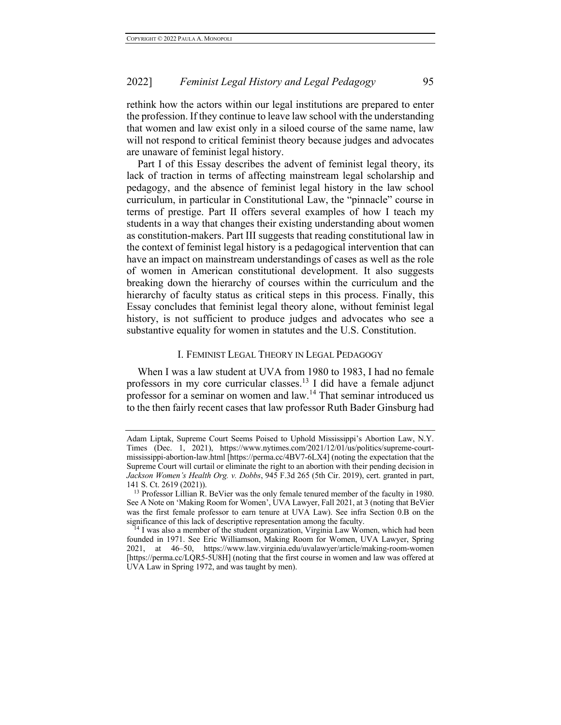rethink how the actors within our legal institutions are prepared to enter the profession. If they continue to leave law school with the understanding that women and law exist only in a siloed course of the same name, law will not respond to critical feminist theory because judges and advocates are unaware of feminist legal history.

Part I of this Essay describes the advent of feminist legal theory, its lack of traction in terms of affecting mainstream legal scholarship and pedagogy, and the absence of feminist legal history in the law school curriculum, in particular in Constitutional Law, the "pinnacle" course in terms of prestige. Part II offers several examples of how I teach my students in a way that changes their existing understanding about women as constitution-makers. Part III suggests that reading constitutional law in the context of feminist legal history is a pedagogical intervention that can have an impact on mainstream understandings of cases as well as the role of women in American constitutional development. It also suggests breaking down the hierarchy of courses within the curriculum and the hierarchy of faculty status as critical steps in this process. Finally, this Essay concludes that feminist legal theory alone, without feminist legal history, is not sufficient to produce judges and advocates who see a substantive equality for women in statutes and the U.S. Constitution.

#### I. FEMINIST LEGAL THEORY IN LEGAL PEDAGOGY

When I was a law student at UVA from 1980 to 1983, I had no female professors in my core curricular classes.13 I did have a female adjunct professor for a seminar on women and law.<sup>14</sup> That seminar introduced us to the then fairly recent cases that law professor Ruth Bader Ginsburg had

Adam Liptak, Supreme Court Seems Poised to Uphold Mississippi's Abortion Law, N.Y. Times (Dec. 1, 2021), https://www.nytimes.com/2021/12/01/us/politics/supreme-courtmississippi-abortion-law.html [https://perma.cc/4BV7-6LX4] (noting the expectation that the Supreme Court will curtail or eliminate the right to an abortion with their pending decision in *Jackson Women's Health Org. v. Dobbs*, 945 F.3d 265 (5th Cir. 2019), cert. granted in part, 141 S. Ct. 2619 (2021)). 13 Professor Lillian R. BeVier was the only female tenured member of the faculty in 1980.

See A Note on 'Making Room for Women', UVA Lawyer, Fall 2021, at 3 (noting that BeVier was the first female professor to earn tenure at UVA Law). See infra Section 0.B on the significance of this lack of descriptive representation among the faculty.

<sup>&</sup>lt;sup>14</sup> I was also a member of the student organization, Virginia Law Women, which had been founded in 1971. See Eric Williamson, Making Room for Women, UVA Lawyer, Spring 2021, at 46–50, https://www.law.virginia.edu/uvalawyer/article/making-room-women [https://perma.cc/LQR5-5U8H] (noting that the first course in women and law was offered at UVA Law in Spring 1972, and was taught by men).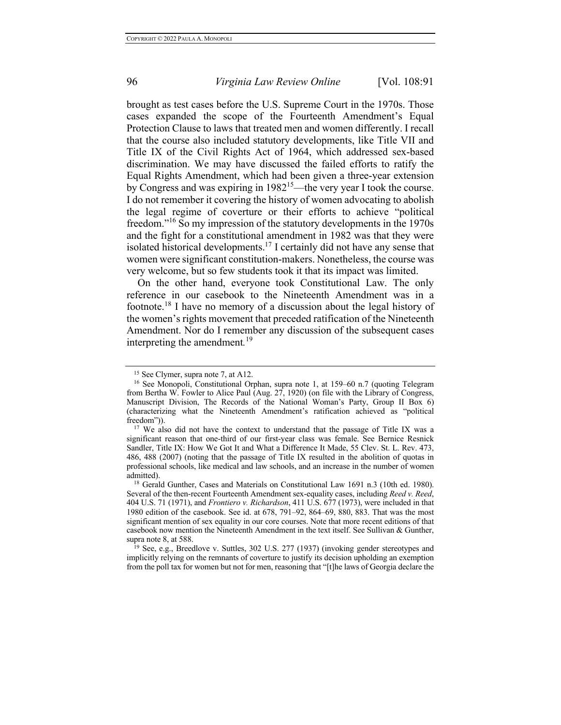brought as test cases before the U.S. Supreme Court in the 1970s. Those cases expanded the scope of the Fourteenth Amendment's Equal Protection Clause to laws that treated men and women differently. I recall that the course also included statutory developments, like Title VII and Title IX of the Civil Rights Act of 1964, which addressed sex-based discrimination. We may have discussed the failed efforts to ratify the Equal Rights Amendment, which had been given a three-year extension by Congress and was expiring in 198215—the very year I took the course. I do not remember it covering the history of women advocating to abolish the legal regime of coverture or their efforts to achieve "political freedom."<sup>16</sup> So my impression of the statutory developments in the 1970s and the fight for a constitutional amendment in 1982 was that they were isolated historical developments.<sup>17</sup> I certainly did not have any sense that women were significant constitution-makers. Nonetheless, the course was very welcome, but so few students took it that its impact was limited.

On the other hand, everyone took Constitutional Law. The only reference in our casebook to the Nineteenth Amendment was in a footnote.<sup>18</sup> I have no memory of a discussion about the legal history of the women's rights movement that preceded ratification of the Nineteenth Amendment. Nor do I remember any discussion of the subsequent cases interpreting the amendment*.* 19

<sup>19</sup> See, e.g., Breedlove v. Suttles, 302 U.S. 277 (1937) (invoking gender stereotypes and implicitly relying on the remnants of coverture to justify its decision upholding an exemption from the poll tax for women but not for men, reasoning that "[t]he laws of Georgia declare the

<sup>&</sup>lt;sup>15</sup> See Clymer, supra note 7, at A12.

<sup>16</sup> See Monopoli, Constitutional Orphan, supra note 1, at 159–60 n.7 (quoting Telegram from Bertha W. Fowler to Alice Paul (Aug. 27, 1920) (on file with the Library of Congress, Manuscript Division, The Records of the National Woman's Party, Group II Box 6) (characterizing what the Nineteenth Amendment's ratification achieved as "political freedom")).

<sup>&</sup>lt;sup>17</sup> We also did not have the context to understand that the passage of Title IX was a significant reason that one-third of our first-year class was female. See Bernice Resnick Sandler, Title IX: How We Got It and What a Difference It Made, 55 Clev. St. L. Rev. 473, 486, 488 (2007) (noting that the passage of Title IX resulted in the abolition of quotas in professional schools, like medical and law schools, and an increase in the number of women admitted).<br><sup>18</sup> Gerald Gunther, Cases and Materials on Constitutional Law 1691 n.3 (10th ed. 1980).

Several of the then-recent Fourteenth Amendment sex-equality cases, including *Reed v. Reed*, 404 U.S. 71 (1971), and *Frontiero v. Richardson*, 411 U.S. 677 (1973), were included in that 1980 edition of the casebook. See id. at 678, 791–92, 864–69, 880, 883. That was the most significant mention of sex equality in our core courses. Note that more recent editions of that casebook now mention the Nineteenth Amendment in the text itself. See Sullivan & Gunther, supra note 8, at 588.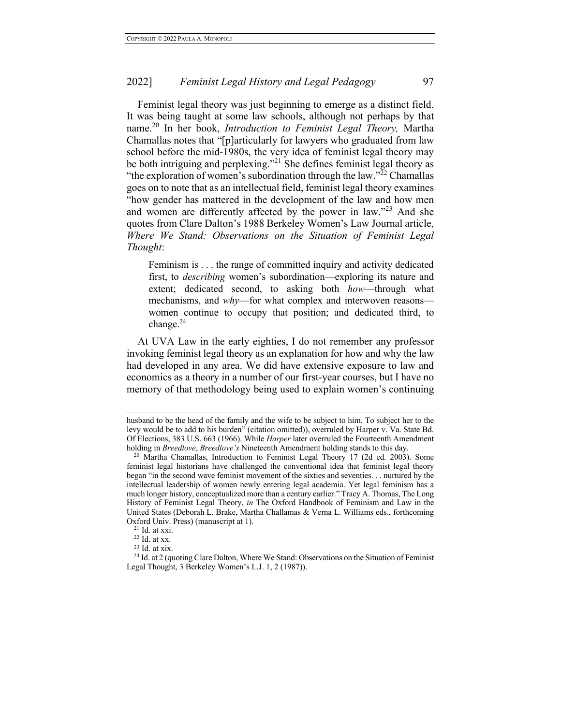Feminist legal theory was just beginning to emerge as a distinct field. It was being taught at some law schools, although not perhaps by that name.<sup>20</sup> In her book, *Introduction to Feminist Legal Theory,* Martha Chamallas notes that "[p]articularly for lawyers who graduated from law school before the mid-1980s, the very idea of feminist legal theory may be both intriguing and perplexing."21 She defines feminist legal theory as "the exploration of women's subordination through the law." $^{22}$  Chamallas goes on to note that as an intellectual field, feminist legal theory examines "how gender has mattered in the development of the law and how men and women are differently affected by the power in law."23 And she quotes from Clare Dalton's 1988 Berkeley Women's Law Journal article, *Where We Stand: Observations on the Situation of Feminist Legal Thought*:

Feminism is . . . the range of committed inquiry and activity dedicated first, to *describing* women's subordination—exploring its nature and extent; dedicated second, to asking both *how*—through what mechanisms, and *why*—for what complex and interwoven reasons women continue to occupy that position; and dedicated third, to change. $^{24}$ 

At UVA Law in the early eighties, I do not remember any professor invoking feminist legal theory as an explanation for how and why the law had developed in any area. We did have extensive exposure to law and economics as a theory in a number of our first-year courses, but I have no memory of that methodology being used to explain women's continuing

husband to be the head of the family and the wife to be subject to him. To subject her to the levy would be to add to his burden" (citation omitted)), overruled by Harper v. Va. State Bd. Of Elections, 383 U.S. 663 (1966). While *Harper* later overruled the Fourteenth Amendment

<sup>&</sup>lt;sup>20</sup> Martha Chamallas, Introduction to Feminist Legal Theory 17 (2d ed. 2003). Some feminist legal historians have challenged the conventional idea that feminist legal theory began "in the second wave feminist movement of the sixties and seventies. . . nurtured by the intellectual leadership of women newly entering legal academia. Yet legal feminism has a much longer history, conceptualized more than a century earlier." Tracy A. Thomas, The Long History of Feminist Legal Theory, *in* The Oxford Handbook of Feminism and Law in the United States (Deborah L. Brake, Martha Challamas & Verna L. Williams eds., forthcoming Oxford Univ. Press) (manuscript at 1). 21 Id. at xxi.

 $^{22}$  Id. at xx.

<sup>23</sup> Id. at xix.

 $24$  Id. at 2 (quoting Clare Dalton, Where We Stand: Observations on the Situation of Feminist Legal Thought, 3 Berkeley Women's L.J. 1, 2 (1987)).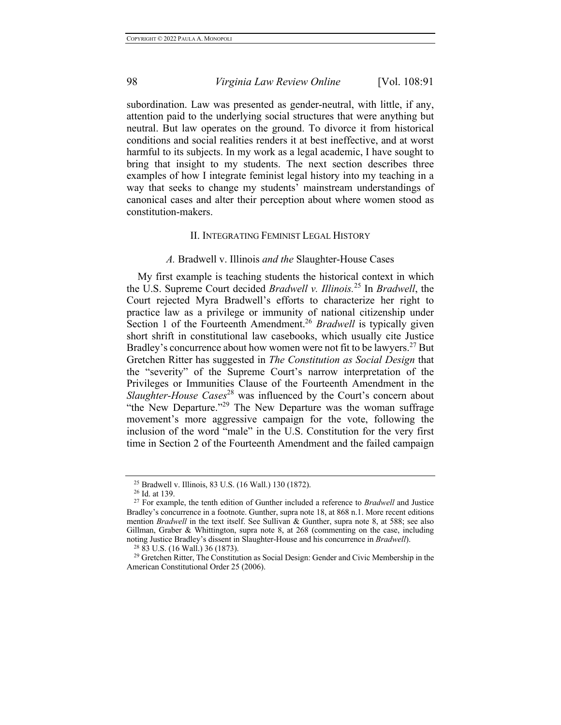subordination. Law was presented as gender-neutral, with little, if any, attention paid to the underlying social structures that were anything but neutral. But law operates on the ground. To divorce it from historical conditions and social realities renders it at best ineffective, and at worst harmful to its subjects. In my work as a legal academic, I have sought to bring that insight to my students. The next section describes three examples of how I integrate feminist legal history into my teaching in a way that seeks to change my students' mainstream understandings of canonical cases and alter their perception about where women stood as constitution-makers.

#### II. INTEGRATING FEMINIST LEGAL HISTORY

#### *A.* Bradwell v. Illinois *and the* Slaughter-House Cases

My first example is teaching students the historical context in which the U.S. Supreme Court decided *Bradwell v. Illinois.* <sup>25</sup> In *Bradwell*, the Court rejected Myra Bradwell's efforts to characterize her right to practice law as a privilege or immunity of national citizenship under Section 1 of the Fourteenth Amendment.<sup>26</sup> *Bradwell* is typically given short shrift in constitutional law casebooks, which usually cite Justice Bradley's concurrence about how women were not fit to be lawyers.<sup>27</sup> But Gretchen Ritter has suggested in *The Constitution as Social Design* that the "severity" of the Supreme Court's narrow interpretation of the Privileges or Immunities Clause of the Fourteenth Amendment in the *Slaughter-House Cases*<sup>28</sup> was influenced by the Court's concern about "the New Departure."<sup>29</sup> The New Departure was the woman suffrage movement's more aggressive campaign for the vote, following the inclusion of the word "male" in the U.S. Constitution for the very first time in Section 2 of the Fourteenth Amendment and the failed campaign

<sup>25</sup> Bradwell v. Illinois, 83 U.S. (16 Wall.) 130 (1872).

<sup>26</sup> Id. at 139.

<sup>27</sup> For example, the tenth edition of Gunther included a reference to *Bradwell* and Justice Bradley's concurrence in a footnote. Gunther, supra note 18, at 868 n.1. More recent editions mention *Bradwell* in the text itself. See Sullivan & Gunther, supra note 8, at 588; see also Gillman, Graber & Whittington, supra note 8, at 268 (commenting on the case, including noting Justice Bradley's dissent in Slaughter-House and his concurrence in *Bradwell*).

<sup>28</sup> 83 U.S. (16 Wall.) 36 (1873).

<sup>&</sup>lt;sup>29</sup> Gretchen Ritter, The Constitution as Social Design: Gender and Civic Membership in the American Constitutional Order 25 (2006).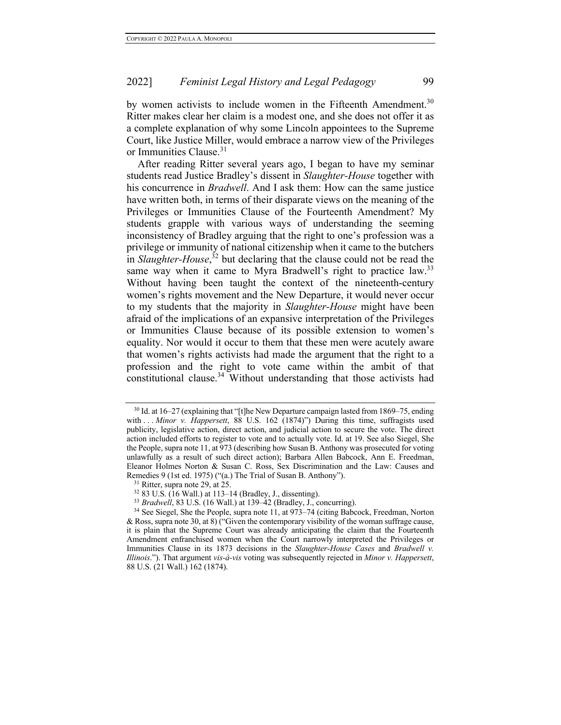by women activists to include women in the Fifteenth Amendment.<sup>30</sup> Ritter makes clear her claim is a modest one, and she does not offer it as a complete explanation of why some Lincoln appointees to the Supreme Court, like Justice Miller, would embrace a narrow view of the Privileges or Immunities Clause.<sup>31</sup>

After reading Ritter several years ago, I began to have my seminar students read Justice Bradley's dissent in *Slaughter-House* together with his concurrence in *Bradwell*. And I ask them: How can the same justice have written both, in terms of their disparate views on the meaning of the Privileges or Immunities Clause of the Fourteenth Amendment? My students grapple with various ways of understanding the seeming inconsistency of Bradley arguing that the right to one's profession was a privilege or immunity of national citizenship when it came to the butchers in *Slaughter-House*, <sup>32</sup> but declaring that the clause could not be read the same way when it came to Myra Bradwell's right to practice law.<sup>33</sup> Without having been taught the context of the nineteenth-century women's rights movement and the New Departure, it would never occur to my students that the majority in *Slaughter-House* might have been afraid of the implications of an expansive interpretation of the Privileges or Immunities Clause because of its possible extension to women's equality. Nor would it occur to them that these men were acutely aware that women's rights activists had made the argument that the right to a profession and the right to vote came within the ambit of that constitutional clause.34 Without understanding that those activists had

<sup>30</sup> Id. at 16–27 (explaining that "[t]he New Departure campaign lasted from 1869–75, ending with . . . *Minor v. Happersett*, 88 U.S. 162 (1874)") During this time, suffragists used publicity, legislative action, direct action, and judicial action to secure the vote. The direct action included efforts to register to vote and to actually vote. Id. at 19. See also Siegel, She the People, supra note 11, at 973 (describing how Susan B. Anthony was prosecuted for voting unlawfully as a result of such direct action); Barbara Allen Babcock, Ann E. Freedman, Eleanor Holmes Norton & Susan C. Ross, Sex Discrimination and the Law: Causes and Remedies 9 (1st ed. 1975) ("(a.) The Trial of Susan B. Anthony"). <sup>31</sup> Ritter, supra note 29, at 25.

<sup>32</sup> 83 U.S. (16 Wall.) at 113–14 (Bradley, J., dissenting).

<sup>33</sup> *Bradwell*, 83 U.S. (16 Wall.) at 139–42 (Bradley, J., concurring).

<sup>&</sup>lt;sup>34</sup> See Siegel, She the People, supra note 11, at 973–74 (citing Babcock, Freedman, Norton & Ross, supra note 30, at 8) ("Given the contemporary visibility of the woman suffrage cause, it is plain that the Supreme Court was already anticipating the claim that the Fourteenth Amendment enfranchised women when the Court narrowly interpreted the Privileges or Immunities Clause in its 1873 decisions in the *Slaughter-House Cases* and *Bradwell v. Illinois*."). That argument *vis-à-vis* voting was subsequently rejected in *Minor v. Happersett*, 88 U.S. (21 Wall.) 162 (1874).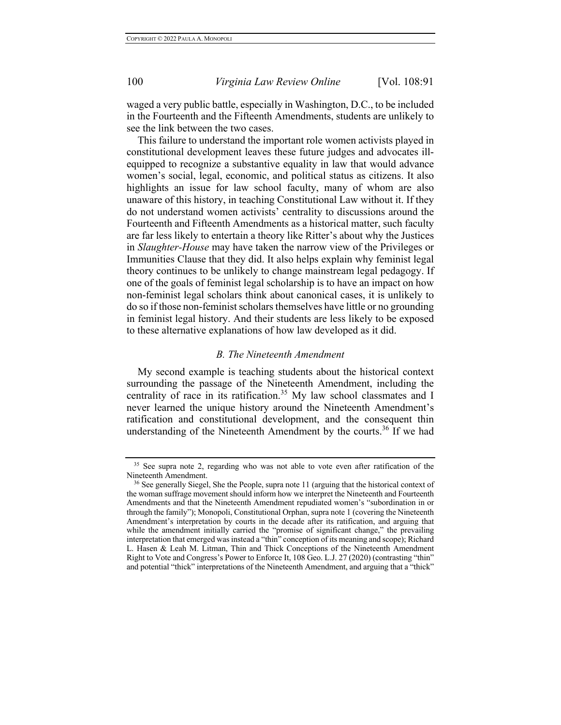waged a very public battle, especially in Washington, D.C., to be included in the Fourteenth and the Fifteenth Amendments, students are unlikely to see the link between the two cases.

This failure to understand the important role women activists played in constitutional development leaves these future judges and advocates illequipped to recognize a substantive equality in law that would advance women's social, legal, economic, and political status as citizens. It also highlights an issue for law school faculty, many of whom are also unaware of this history, in teaching Constitutional Law without it. If they do not understand women activists' centrality to discussions around the Fourteenth and Fifteenth Amendments as a historical matter, such faculty are far less likely to entertain a theory like Ritter's about why the Justices in *Slaughter-House* may have taken the narrow view of the Privileges or Immunities Clause that they did. It also helps explain why feminist legal theory continues to be unlikely to change mainstream legal pedagogy. If one of the goals of feminist legal scholarship is to have an impact on how non-feminist legal scholars think about canonical cases, it is unlikely to do so if those non-feminist scholars themselves have little or no grounding in feminist legal history. And their students are less likely to be exposed to these alternative explanations of how law developed as it did.

#### *B. The Nineteenth Amendment*

My second example is teaching students about the historical context surrounding the passage of the Nineteenth Amendment, including the centrality of race in its ratification.<sup>35</sup> My law school classmates and I never learned the unique history around the Nineteenth Amendment's ratification and constitutional development, and the consequent thin understanding of the Nineteenth Amendment by the courts.<sup>36</sup> If we had

<sup>&</sup>lt;sup>35</sup> See supra note 2, regarding who was not able to vote even after ratification of the Nineteenth Amendment.

<sup>&</sup>lt;sup>36</sup> See generally Siegel, She the People, supra note 11 (arguing that the historical context of the woman suffrage movement should inform how we interpret the Nineteenth and Fourteenth Amendments and that the Nineteenth Amendment repudiated women's "subordination in or through the family"); Monopoli, Constitutional Orphan, supra note 1 (covering the Nineteenth Amendment's interpretation by courts in the decade after its ratification, and arguing that while the amendment initially carried the "promise of significant change," the prevailing interpretation that emerged was instead a "thin" conception of its meaning and scope); Richard L. Hasen & Leah M. Litman, Thin and Thick Conceptions of the Nineteenth Amendment Right to Vote and Congress's Power to Enforce It, 108 Geo. L.J. 27 (2020) (contrasting "thin" and potential "thick" interpretations of the Nineteenth Amendment, and arguing that a "thick"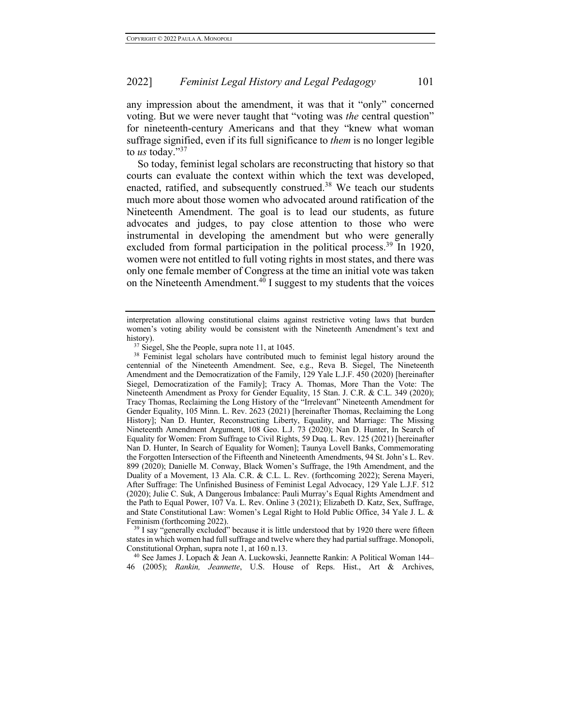any impression about the amendment, it was that it "only" concerned voting. But we were never taught that "voting was *the* central question" for nineteenth-century Americans and that they "knew what woman suffrage signified, even if its full significance to *them* is no longer legible to *us* today."<sup>37</sup>

So today, feminist legal scholars are reconstructing that history so that courts can evaluate the context within which the text was developed, enacted, ratified, and subsequently construed.<sup>38</sup> We teach our students much more about those women who advocated around ratification of the Nineteenth Amendment. The goal is to lead our students, as future advocates and judges, to pay close attention to those who were instrumental in developing the amendment but who were generally excluded from formal participation in the political process.<sup>39</sup> In 1920, women were not entitled to full voting rights in most states, and there was only one female member of Congress at the time an initial vote was taken on the Nineteenth Amendment.<sup>40</sup> I suggest to my students that the voices

 $39$  I say "generally excluded" because it is little understood that by 1920 there were fifteen states in which women had full suffrage and twelve where they had partial suffrage. Monopoli, Constitutional Orphan, supra note 1, at 160 n.13.

<sup>40</sup> See James J. Lopach & Jean A. Luckowski, Jeannette Rankin: A Political Woman 144– 46 (2005); *Rankin, Jeannette*, U.S. House of Reps. Hist., Art & Archives,

interpretation allowing constitutional claims against restrictive voting laws that burden women's voting ability would be consistent with the Nineteenth Amendment's text and history).

<sup>&</sup>lt;sup>37</sup> Siegel, She the People, supra note 11, at 1045.

<sup>&</sup>lt;sup>38</sup> Feminist legal scholars have contributed much to feminist legal history around the centennial of the Nineteenth Amendment. See, e.g., Reva B. Siegel, The Nineteenth Amendment and the Democratization of the Family, 129 Yale L.J.F. 450 (2020) [hereinafter Siegel, Democratization of the Family]; Tracy A. Thomas, More Than the Vote: The Nineteenth Amendment as Proxy for Gender Equality, 15 Stan. J. C.R. & C.L. 349 (2020); Tracy Thomas, Reclaiming the Long History of the "Irrelevant" Nineteenth Amendment for Gender Equality, 105 Minn. L. Rev. 2623 (2021) [hereinafter Thomas, Reclaiming the Long History]; Nan D. Hunter, Reconstructing Liberty, Equality, and Marriage: The Missing Nineteenth Amendment Argument, 108 Geo. L.J. 73 (2020); Nan D. Hunter, In Search of Equality for Women: From Suffrage to Civil Rights, 59 Duq. L. Rev. 125 (2021) [hereinafter Nan D. Hunter, In Search of Equality for Women]; Taunya Lovell Banks, Commemorating the Forgotten Intersection of the Fifteenth and Nineteenth Amendments, 94 St. John's L. Rev. 899 (2020); Danielle M. Conway, Black Women's Suffrage, the 19th Amendment, and the Duality of a Movement, 13 Ala. C.R. & C.L. L. Rev. (forthcoming 2022); Serena Mayeri, After Suffrage: The Unfinished Business of Feminist Legal Advocacy, 129 Yale L.J.F. 512 (2020); Julie C. Suk, A Dangerous Imbalance: Pauli Murray's Equal Rights Amendment and the Path to Equal Power, 107 Va. L. Rev. Online 3 (2021); Elizabeth D. Katz, Sex, Suffrage, and State Constitutional Law: Women's Legal Right to Hold Public Office, 34 Yale J. L. & Feminism (forthcoming 2022).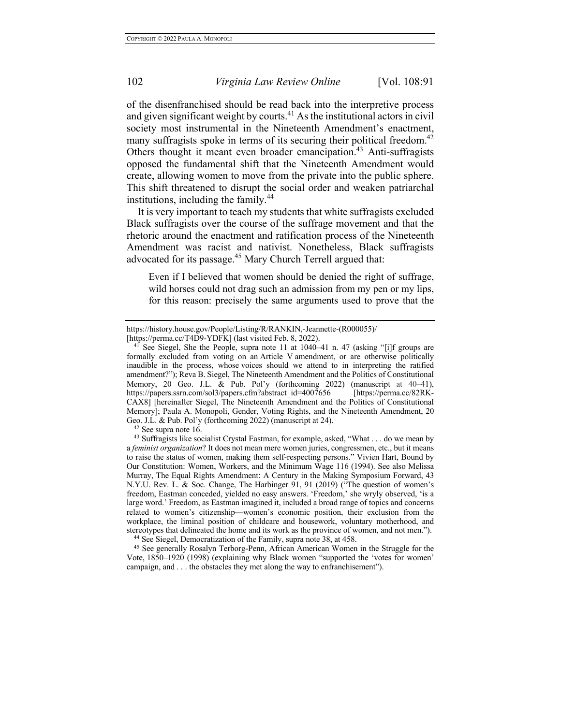of the disenfranchised should be read back into the interpretive process and given significant weight by courts. <sup>41</sup> As the institutional actors in civil society most instrumental in the Nineteenth Amendment's enactment, many suffragists spoke in terms of its securing their political freedom.<sup>42</sup> Others thought it meant even broader emancipation.<sup>43</sup> Anti-suffragists opposed the fundamental shift that the Nineteenth Amendment would create, allowing women to move from the private into the public sphere. This shift threatened to disrupt the social order and weaken patriarchal institutions, including the family. $44$ 

It is very important to teach my students that white suffragists excluded Black suffragists over the course of the suffrage movement and that the rhetoric around the enactment and ratification process of the Nineteenth Amendment was racist and nativist. Nonetheless, Black suffragists advocated for its passage.<sup>45</sup> Mary Church Terrell argued that:

Even if I believed that women should be denied the right of suffrage, wild horses could not drag such an admission from my pen or my lips, for this reason: precisely the same arguments used to prove that the

https://history.house.gov/People/Listing/R/RANKIN,-Jeannette-(R000055)/

<sup>[</sup>https://perma.cc/T4D9-YDFK] (last visited Feb. 8, 2022). 41 See Siegel, She the People, supra note 11 at 1040–41 n. 47 (asking "[i]f groups are formally excluded from voting on an Article V amendment, or are otherwise politically inaudible in the process, whose voices should we attend to in interpreting the ratified amendment?"); Reva B. Siegel, The Nineteenth Amendment and the Politics of Constitutional Memory, 20 Geo. J.L. & Pub. Pol'y (forthcoming 2022) (manuscript at 40–41), https://papers.ssrn.com/sol3/papers.cfm?abstract\_id=4007656 [https://perma.cc/82RK-CAX8] [hereinafter Siegel, The Nineteenth Amendment and the Politics of Constitutional Memory]; Paula A. Monopoli, Gender, Voting Rights, and the Nineteenth Amendment, 20 Geo. J.L. & Pub. Pol'y (forthcoming 2022) (manuscript at 24).

<sup>&</sup>lt;sup>42</sup> See supra note 16.<br><sup>43</sup> Suffragists like socialist Crystal Eastman, for example, asked, "What . . . do we mean by a *feminist organization*? It does not mean mere women juries, congressmen, etc., but it means to raise the status of women, making them self-respecting persons." Vivien Hart, Bound by Our Constitution: Women, Workers, and the Minimum Wage 116 (1994). See also Melissa Murray, The Equal Rights Amendment: A Century in the Making Symposium Forward, 43 N.Y.U. Rev. L. & Soc. Change, The Harbinger 91, 91 (2019) ("The question of women's freedom, Eastman conceded, yielded no easy answers. 'Freedom,' she wryly observed, 'is a large word.' Freedom, as Eastman imagined it, included a broad range of topics and concerns related to women's citizenship—women's economic position, their exclusion from the workplace, the liminal position of childcare and housework, voluntary motherhood, and stereotypes that delineated the home and its work as the province of women, and not men."). <sup>44</sup> See Siegel, Democratization of the Family, supra note 38, at 458.

<sup>45</sup> See generally Rosalyn Terborg-Penn, African American Women in the Struggle for the Vote, 1850–1920 (1998) (explaining why Black women "supported the 'votes for women' campaign, and . . . the obstacles they met along the way to enfranchisement").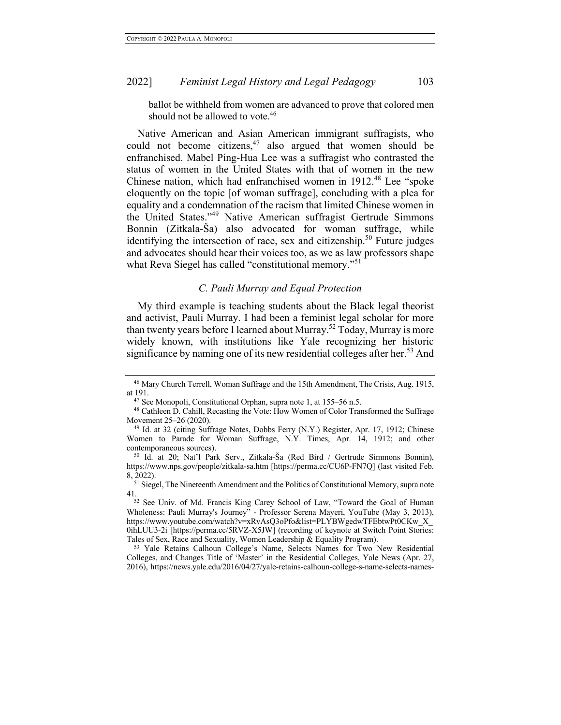ballot be withheld from women are advanced to prove that colored men should not be allowed to vote.<sup>46</sup>

Native American and Asian American immigrant suffragists, who could not become citizens,  $47$  also argued that women should be enfranchised. Mabel Ping-Hua Lee was a suffragist who contrasted the status of women in the United States with that of women in the new Chinese nation, which had enfranchised women in 1912.<sup>48</sup> Lee "spoke eloquently on the topic [of woman suffrage], concluding with a plea for equality and a condemnation of the racism that limited Chinese women in the United States."49 Native American suffragist Gertrude Simmons Bonnin (Zitkala-Ša) also advocated for woman suffrage, while identifying the intersection of race, sex and citizenship.<sup>50</sup> Future judges and advocates should hear their voices too, as we as law professors shape what Reva Siegel has called "constitutional memory."<sup>51</sup>

# *C. Pauli Murray and Equal Protection*

My third example is teaching students about the Black legal theorist and activist, Pauli Murray. I had been a feminist legal scholar for more than twenty years before I learned about Murray.<sup>52</sup> Today, Murray is more widely known, with institutions like Yale recognizing her historic significance by naming one of its new residential colleges after her.<sup>53</sup> And

<sup>53</sup> Yale Retains Calhoun College's Name, Selects Names for Two New Residential Colleges, and Changes Title of 'Master' in the Residential Colleges, Yale News (Apr. 27, 2016), https://news.yale.edu/2016/04/27/yale-retains-calhoun-college-s-name-selects-names-

<sup>46</sup> Mary Church Terrell, Woman Suffrage and the 15th Amendment, The Crisis, Aug. 1915, at 191.

<sup>47</sup> See Monopoli, Constitutional Orphan, supra note 1, at 155–56 n.5.

<sup>48</sup> Cathleen D. Cahill, Recasting the Vote: How Women of Color Transformed the Suffrage Movement 25–26 (2020).

<sup>49</sup> Id. at 32 (citing Suffrage Notes, Dobbs Ferry (N.Y.) Register, Apr. 17, 1912; Chinese Women to Parade for Woman Suffrage, N.Y. Times, Apr. 14, 1912; and other contemporaneous sources). 50 Id. at 20; Nat'l Park Serv., Zitkala-Ša (Red Bird / Gertrude Simmons Bonnin),

https://www.nps.gov/people/zitkala-sa.htm [https://perma.cc/CU6P-FN7Q] (last visited Feb. 8, 2022).

<sup>&</sup>lt;sup>51</sup> Siegel, The Nineteenth Amendment and the Politics of Constitutional Memory, supra note 41.

<sup>&</sup>lt;sup>52</sup> See Univ. of Md. Francis King Carey School of Law, "Toward the Goal of Human Wholeness: Pauli Murray's Journey" - Professor Serena Mayeri, YouTube (May 3, 2013), https://www.youtube.com/watch?v=xRvAsQ3oPfo&list=PLYBWgedwTFEbtwPt0CKw\_X\_ 0ihLUU3-2i [https://perma.cc/5RVZ-X5JW] (recording of keynote at Switch Point Stories: Tales of Sex, Race and Sexuality, Women Leadership & Equality Program).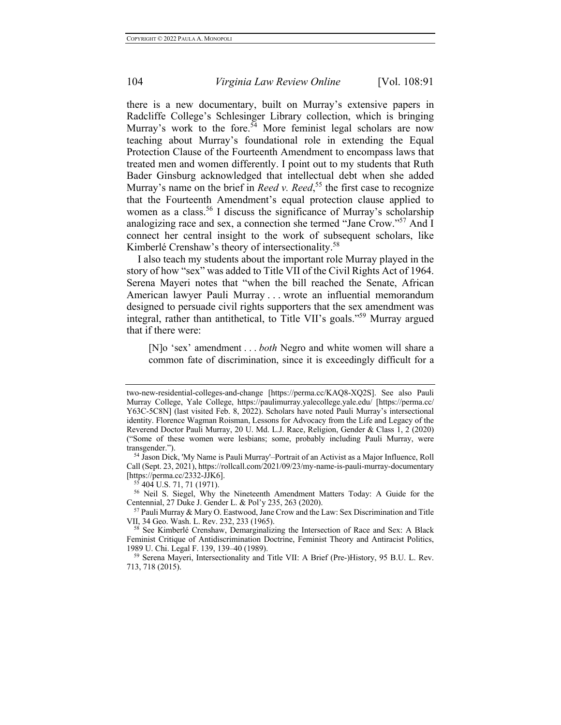there is a new documentary, built on Murray's extensive papers in Radcliffe College's Schlesinger Library collection, which is bringing Murray's work to the fore.<sup>54</sup> More feminist legal scholars are now teaching about Murray's foundational role in extending the Equal Protection Clause of the Fourteenth Amendment to encompass laws that treated men and women differently. I point out to my students that Ruth Bader Ginsburg acknowledged that intellectual debt when she added Murray's name on the brief in *Reed v. Reed*, <sup>55</sup> the first case to recognize that the Fourteenth Amendment's equal protection clause applied to women as a class.<sup>56</sup> I discuss the significance of Murray's scholarship analogizing race and sex, a connection she termed "Jane Crow."57 And I connect her central insight to the work of subsequent scholars, like Kimberlé Crenshaw's theory of intersectionality.<sup>58</sup>

I also teach my students about the important role Murray played in the story of how "sex" was added to Title VII of the Civil Rights Act of 1964. Serena Mayeri notes that "when the bill reached the Senate, African American lawyer Pauli Murray . . . wrote an influential memorandum designed to persuade civil rights supporters that the sex amendment was integral, rather than antithetical, to Title VII's goals."59 Murray argued that if there were:

[N]o 'sex' amendment . . . *both* Negro and white women will share a common fate of discrimination, since it is exceedingly difficult for a

<sup>56</sup> Neil S. Siegel, Why the Nineteenth Amendment Matters Today: A Guide for the Centennial, 27 Duke J. Gender L. & Pol'y 235, 263 (2020).

two-new-residential-colleges-and-change [https://perma.cc/KAQ8-XQ2S]. See also Pauli Murray College, Yale College, https://paulimurray.yalecollege.yale.edu/ [https://perma.cc/ Y63C-5C8N] (last visited Feb. 8, 2022). Scholars have noted Pauli Murray's intersectional identity. Florence Wagman Roisman, Lessons for Advocacy from the Life and Legacy of the Reverend Doctor Pauli Murray, 20 U. Md. L.J. Race, Religion, Gender & Class 1, 2 (2020) ("Some of these women were lesbians; some, probably including Pauli Murray, were

<sup>&</sup>lt;sup>54</sup> Jason Dick, 'My Name is Pauli Murray'–Portrait of an Activist as a Major Influence, Roll Call (Sept. 23, 2021), https://rollcall.com/2021/09/23/my-name-is-pauli-murray-documentary [https://perma.cc/2332-JJK6].<br><sup>55</sup> 404 U.S. 71, 71 (1971).

 $57$  Pauli Murray & Mary O. Eastwood, Jane Crow and the Law: Sex Discrimination and Title VII, 34 Geo. Wash. L. Rev. 232, 233 (1965).

<sup>58</sup> See Kimberlé Crenshaw, Demarginalizing the Intersection of Race and Sex: A Black Feminist Critique of Antidiscrimination Doctrine, Feminist Theory and Antiracist Politics, 1989 U. Chi. Legal F. 139, 139–40 (1989).

<sup>59</sup> Serena Mayeri, Intersectionality and Title VII: A Brief (Pre-)History, 95 B.U. L. Rev. 713, 718 (2015).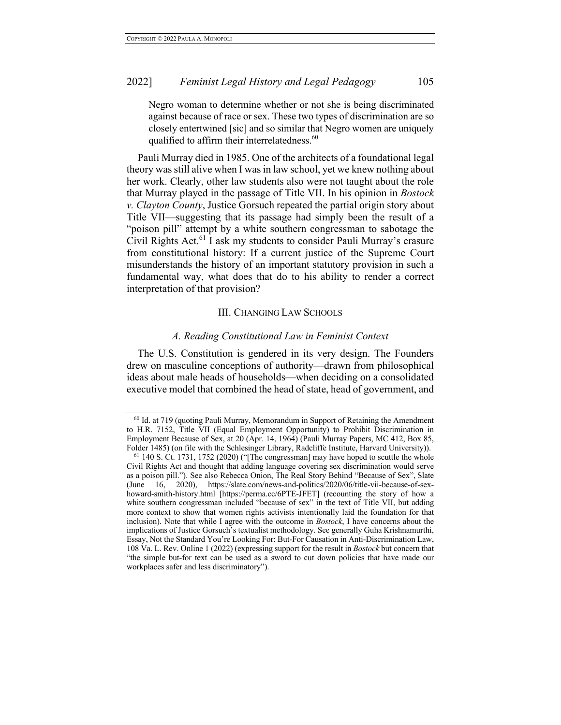Negro woman to determine whether or not she is being discriminated against because of race or sex. These two types of discrimination are so closely entertwined [sic] and so similar that Negro women are uniquely qualified to affirm their interrelatedness.<sup>60</sup>

Pauli Murray died in 1985. One of the architects of a foundational legal theory was still alive when I was in law school, yet we knew nothing about her work. Clearly, other law students also were not taught about the role that Murray played in the passage of Title VII. In his opinion in *Bostock v. Clayton County*, Justice Gorsuch repeated the partial origin story about Title VII—suggesting that its passage had simply been the result of a "poison pill" attempt by a white southern congressman to sabotage the Civil Rights Act.<sup>61</sup> I ask my students to consider Pauli Murray's erasure from constitutional history: If a current justice of the Supreme Court misunderstands the history of an important statutory provision in such a fundamental way, what does that do to his ability to render a correct interpretation of that provision?

#### III. CHANGING LAW SCHOOLS

#### *A. Reading Constitutional Law in Feminist Context*

The U.S. Constitution is gendered in its very design. The Founders drew on masculine conceptions of authority—drawn from philosophical ideas about male heads of households—when deciding on a consolidated executive model that combined the head of state, head of government, and

 $60$  Id. at 719 (quoting Pauli Murray, Memorandum in Support of Retaining the Amendment to H.R. 7152, Title VII (Equal Employment Opportunity) to Prohibit Discrimination in Employment Because of Sex, at 20 (Apr. 14, 1964) (Pauli Murray Papers, MC 412, Box 85, Folder 1485) (on file with the Schlesinger Library, Radcliffe Institute, Harvard University)).

<sup>&</sup>lt;sup>61</sup> 140 S. Ct. 1731, 1752 (2020) ("The congressman] may have hoped to scuttle the whole Civil Rights Act and thought that adding language covering sex discrimination would serve as a poison pill."). See also Rebecca Onion, The Real Story Behind "Because of Sex", Slate (June 16, 2020), https://slate.com/news-and-politics/2020/06/title-vii-because-of-sexhoward-smith-history.html [https://perma.cc/6PTE-JFET] (recounting the story of how a white southern congressman included "because of sex" in the text of Title VII, but adding more context to show that women rights activists intentionally laid the foundation for that inclusion). Note that while I agree with the outcome in *Bostock*, I have concerns about the implications of Justice Gorsuch's textualist methodology. See generally Guha Krishnamurthi, Essay, Not the Standard You're Looking For: But-For Causation in Anti-Discrimination Law, 108 Va. L. Rev. Online 1 (2022) (expressing support for the result in *Bostock* but concern that "the simple but-for text can be used as a sword to cut down policies that have made our workplaces safer and less discriminatory").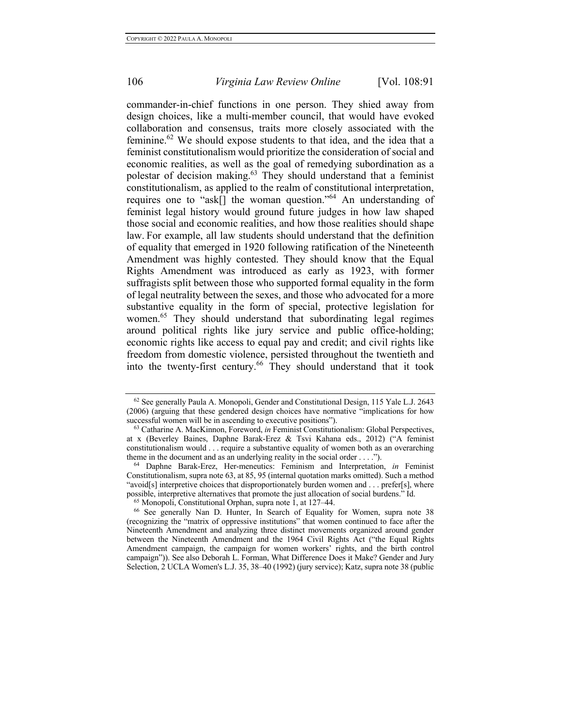commander-in-chief functions in one person. They shied away from design choices, like a multi-member council, that would have evoked collaboration and consensus, traits more closely associated with the feminine.62 We should expose students to that idea, and the idea that a feminist constitutionalism would prioritize the consideration of social and economic realities, as well as the goal of remedying subordination as a polestar of decision making. $63$  They should understand that a feminist constitutionalism, as applied to the realm of constitutional interpretation, requires one to "ask[] the woman question."<sup>64</sup> An understanding of feminist legal history would ground future judges in how law shaped those social and economic realities, and how those realities should shape law. For example, all law students should understand that the definition of equality that emerged in 1920 following ratification of the Nineteenth Amendment was highly contested. They should know that the Equal Rights Amendment was introduced as early as 1923, with former suffragists split between those who supported formal equality in the form of legal neutrality between the sexes, and those who advocated for a more substantive equality in the form of special, protective legislation for women.65 They should understand that subordinating legal regimes around political rights like jury service and public office-holding; economic rights like access to equal pay and credit; and civil rights like freedom from domestic violence, persisted throughout the twentieth and into the twenty-first century.<sup>66</sup> They should understand that it took

<sup>62</sup> See generally Paula A. Monopoli, Gender and Constitutional Design, 115 Yale L.J. 2643 (2006) (arguing that these gendered design choices have normative "implications for how successful women will be in ascending to executive positions").

<sup>63</sup> Catharine A. MacKinnon, Foreword, *in* Feminist Constitutionalism: Global Perspectives, at x (Beverley Baines, Daphne Barak-Erez & Tsvi Kahana eds., 2012) ("A feminist constitutionalism would . . . require a substantive equality of women both as an overarching theme in the document and as an underlying reality in the social order . . . .").

<sup>64</sup> Daphne Barak-Erez, Her-meneutics: Feminism and Interpretation, *in* Feminist Constitutionalism, supra note 63, at 85, 95 (internal quotation marks omitted). Such a method "avoid[s] interpretive choices that disproportionately burden women and  $\dots$  prefer[s], where possible, interpretive alternatives that promote the just allocation of social burdens." Id.

<sup>65</sup> Monopoli, Constitutional Orphan, supra note 1, at 127–44.

<sup>66</sup> See generally Nan D. Hunter, In Search of Equality for Women, supra note 38 (recognizing the "matrix of oppressive institutions" that women continued to face after the Nineteenth Amendment and analyzing three distinct movements organized around gender between the Nineteenth Amendment and the 1964 Civil Rights Act ("the Equal Rights Amendment campaign, the campaign for women workers' rights, and the birth control campaign")). See also Deborah L. Forman, What Difference Does it Make? Gender and Jury Selection, 2 UCLA Women's L.J. 35, 38–40 (1992) (jury service); Katz, supra note 38 (public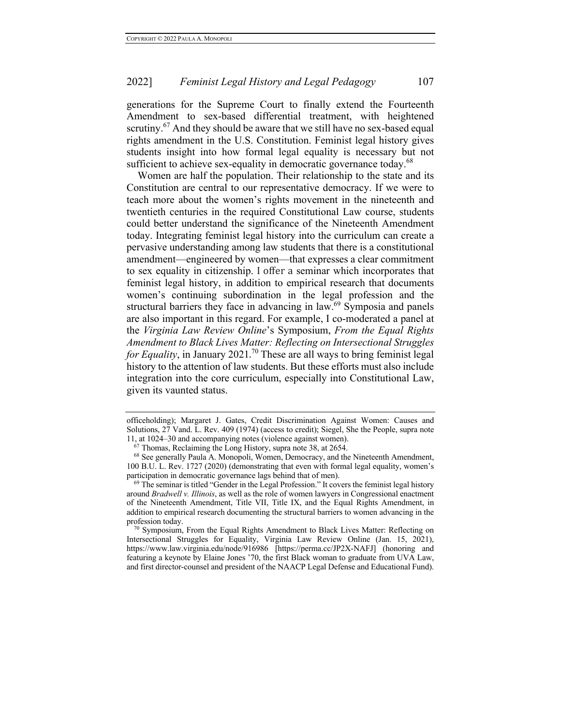generations for the Supreme Court to finally extend the Fourteenth Amendment to sex-based differential treatment, with heightened scrutiny.<sup>67</sup> And they should be aware that we still have no sex-based equal rights amendment in the U.S. Constitution. Feminist legal history gives students insight into how formal legal equality is necessary but not sufficient to achieve sex-equality in democratic governance today.<sup>68</sup>

Women are half the population. Their relationship to the state and its Constitution are central to our representative democracy. If we were to teach more about the women's rights movement in the nineteenth and twentieth centuries in the required Constitutional Law course, students could better understand the significance of the Nineteenth Amendment today. Integrating feminist legal history into the curriculum can create a pervasive understanding among law students that there is a constitutional amendment—engineered by women—that expresses a clear commitment to sex equality in citizenship. I offer a seminar which incorporates that feminist legal history, in addition to empirical research that documents women's continuing subordination in the legal profession and the structural barriers they face in advancing in law.<sup>69</sup> Symposia and panels are also important in this regard. For example, I co-moderated a panel at the *Virginia Law Review Online*'s Symposium, *From the Equal Rights Amendment to Black Lives Matter: Reflecting on Intersectional Struggles for Equality*, in January 2021. <sup>70</sup> These are all ways to bring feminist legal history to the attention of law students. But these efforts must also include integration into the core curriculum, especially into Constitutional Law, given its vaunted status.

officeholding); Margaret J. Gates, Credit Discrimination Against Women: Causes and Solutions, 27 Vand. L. Rev. 409 (1974) (access to credit); Siegel, She the People, supra note 11, at 1024–30 and accompanying notes (violence against women).  $67$  Thomas, Reclaiming the Long History, supra note 38, at 2654.

<sup>&</sup>lt;sup>68</sup> See generally Paula A. Monopoli, Women, Democracy, and the Nineteenth Amendment, 100 B.U. L. Rev. 1727 (2020) (demonstrating that even with formal legal equality, women's participation in democratic governance lags behind that of men).

 $<sup>69</sup>$  The seminar is titled "Gender in the Legal Profession." It covers the feminist legal history</sup> around *Bradwell v. Illinois*, as well as the role of women lawyers in Congressional enactment of the Nineteenth Amendment, Title VII, Title IX, and the Equal Rights Amendment, in addition to empirical research documenting the structural barriers to women advancing in the profession today.

 $70$  Symposium, From the Equal Rights Amendment to Black Lives Matter: Reflecting on Intersectional Struggles for Equality, Virginia Law Review Online (Jan. 15, 2021), https://www.law.virginia.edu/node/916986 [https://perma.cc/JP2X-NAFJ] (honoring and featuring a keynote by Elaine Jones '70, the first Black woman to graduate from UVA Law, and first director-counsel and president of the NAACP Legal Defense and Educational Fund).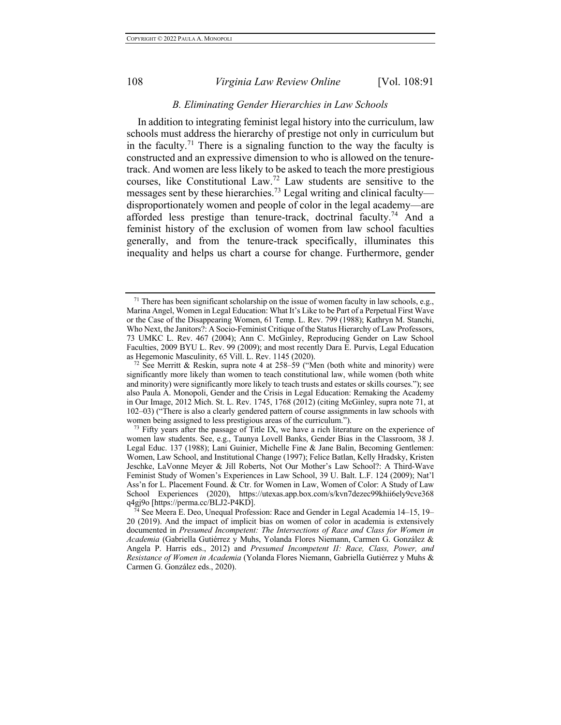#### *B. Eliminating Gender Hierarchies in Law Schools*

In addition to integrating feminist legal history into the curriculum, law schools must address the hierarchy of prestige not only in curriculum but in the faculty.<sup>71</sup> There is a signaling function to the way the faculty is constructed and an expressive dimension to who is allowed on the tenuretrack. And women are less likely to be asked to teach the more prestigious courses, like Constitutional Law.<sup>72</sup> Law students are sensitive to the messages sent by these hierarchies.<sup>73</sup> Legal writing and clinical faculty disproportionately women and people of color in the legal academy—are afforded less prestige than tenure-track, doctrinal faculty.<sup>74</sup> And a feminist history of the exclusion of women from law school faculties generally, and from the tenure-track specifically, illuminates this inequality and helps us chart a course for change. Furthermore, gender

 $71$  There has been significant scholarship on the issue of women faculty in law schools, e.g., Marina Angel, Women in Legal Education: What It's Like to be Part of a Perpetual First Wave or the Case of the Disappearing Women, 61 Temp. L. Rev. 799 (1988); Kathryn M. Stanchi, Who Next, the Janitors?: A Socio-Feminist Critique of the Status Hierarchy of Law Professors, 73 UMKC L. Rev. 467 (2004); Ann C. McGinley, Reproducing Gender on Law School Faculties, 2009 BYU L. Rev. 99 (2009); and most recently Dara E. Purvis, Legal Education as Hegemonic Masculinity, 65 Vill. L. Rev. 1145 (2020).

<sup>&</sup>lt;sup>72</sup> See Merritt & Reskin, supra note 4 at 258–59 ("Men (both white and minority) were significantly more likely than women to teach constitutional law, while women (both white and minority) were significantly more likely to teach trusts and estates or skills courses."); see also Paula A. Monopoli, Gender and the Crisis in Legal Education: Remaking the Academy in Our Image, 2012 Mich. St. L. Rev. 1745, 1768 (2012) (citing McGinley, supra note 71, at 102–03) ("There is also a clearly gendered pattern of course assignments in law schools with women being assigned to less prestigious areas of the curriculum.").<br><sup>73</sup> Fifty years after the passage of Title IX, we have a rich literature on the experience of

women law students. See, e.g., Taunya Lovell Banks, Gender Bias in the Classroom, 38 J. Legal Educ. 137 (1988); Lani Guinier, Michelle Fine & Jane Balin, Becoming Gentlemen: Women, Law School, and Institutional Change (1997); Felice Batlan, Kelly Hradsky, Kristen Jeschke, LaVonne Meyer & Jill Roberts, Not Our Mother's Law School?: A Third-Wave Feminist Study of Women's Experiences in Law School, 39 U. Balt. L.F. 124 (2009); Nat'l Ass'n for L. Placement Found. & Ctr. for Women in Law, Women of Color: A Study of Law School Experiences (2020), https://utexas.app.box.com/s/kvn7dezec99khii6ely9cve368 q4gj9o [https://perma.cc/BLJ2-P4KD].

<sup>&</sup>lt;sup>4</sup> See Meera E. Deo, Unequal Profession: Race and Gender in Legal Academia 14–15, 19– 20 (2019). And the impact of implicit bias on women of color in academia is extensively documented in *Presumed Incompetent: The Intersections of Race and Class for Women in Academia* (Gabriella Gutiérrez y Muhs, Yolanda Flores Niemann, Carmen G. González & Angela P. Harris eds., 2012) and *Presumed Incompetent II: Race, Class, Power, and Resistance of Women in Academia* (Yolanda Flores Niemann, Gabriella Gutiérrez y Muhs & Carmen G. González eds., 2020).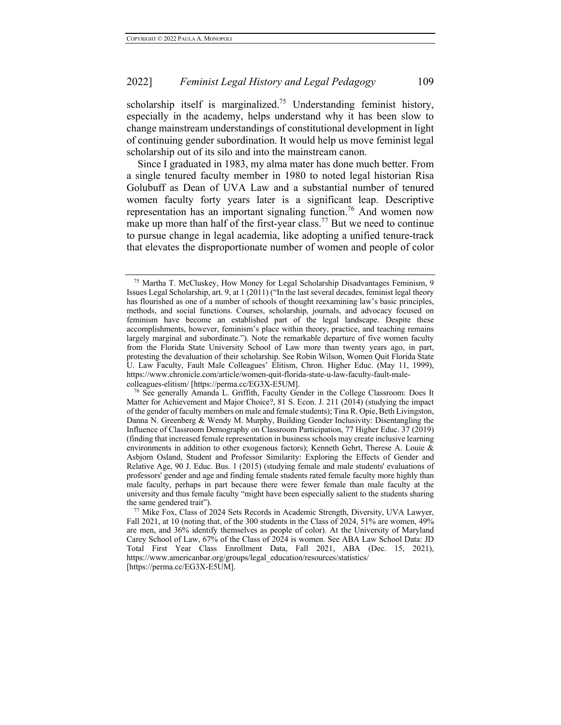scholarship itself is marginalized.<sup>75</sup> Understanding feminist history, especially in the academy, helps understand why it has been slow to change mainstream understandings of constitutional development in light of continuing gender subordination. It would help us move feminist legal scholarship out of its silo and into the mainstream canon.

Since I graduated in 1983, my alma mater has done much better. From a single tenured faculty member in 1980 to noted legal historian Risa Golubuff as Dean of UVA Law and a substantial number of tenured women faculty forty years later is a significant leap. Descriptive representation has an important signaling function.<sup>76</sup> And women now make up more than half of the first-year class.<sup>77</sup> But we need to continue to pursue change in legal academia, like adopting a unified tenure-track that elevates the disproportionate number of women and people of color

<sup>75</sup> Martha T. McCluskey, How Money for Legal Scholarship Disadvantages Feminism, 9 Issues Legal Scholarship, art. 9, at 1 (2011) ("In the last several decades, feminist legal theory has flourished as one of a number of schools of thought reexamining law's basic principles, methods, and social functions. Courses, scholarship, journals, and advocacy focused on feminism have become an established part of the legal landscape. Despite these accomplishments, however, feminism's place within theory, practice, and teaching remains largely marginal and subordinate."). Note the remarkable departure of five women faculty from the Florida State University School of Law more than twenty years ago, in part, protesting the devaluation of their scholarship. See Robin Wilson, Women Quit Florida State U. Law Faculty, Fault Male Colleagues' Elitism, Chron. Higher Educ. (May 11, 1999), https://www.chronicle.com/article/women-quit-florida-state-u-law-faculty-fault-male-

colleagues-elitism/ [https://perma.cc/EG3X-E5UM]. 76 See generally Amanda L. Griffith, Faculty Gender in the College Classroom: Does It Matter for Achievement and Major Choice?, 81 S. Econ. J. 211 (2014) (studying the impact of the gender of faculty members on male and female students); Tina R. Opie, Beth Livingston, Danna N. Greenberg & Wendy M. Murphy, Building Gender Inclusivity: Disentangling the Influence of Classroom Demography on Classroom Participation, 77 Higher Educ. 37 (2019) (finding that increased female representation in business schools may create inclusive learning environments in addition to other exogenous factors); Kenneth Gehrt, Therese A. Louie & Asbjorn Osland, Student and Professor Similarity: Exploring the Effects of Gender and Relative Age, 90 J. Educ. Bus. 1 (2015) (studying female and male students' evaluations of professors' gender and age and finding female students rated female faculty more highly than male faculty, perhaps in part because there were fewer female than male faculty at the university and thus female faculty "might have been especially salient to the students sharing the same gendered trait").<br><sup>77</sup> Mike Fox, Class of 2024 Sets Records in Academic Strength, Diversity, UVA Lawyer,

Fall 2021, at 10 (noting that, of the 300 students in the Class of 2024, 51% are women, 49% are men, and 36% identify themselves as people of color). At the University of Maryland Carey School of Law, 67% of the Class of 2024 is women. See ABA Law School Data: JD Total First Year Class Enrollment Data, Fall 2021, ABA (Dec. 15, 2021), https://www.americanbar.org/groups/legal\_education/resources/statistics/ [https://perma.cc/EG3X-E5UM].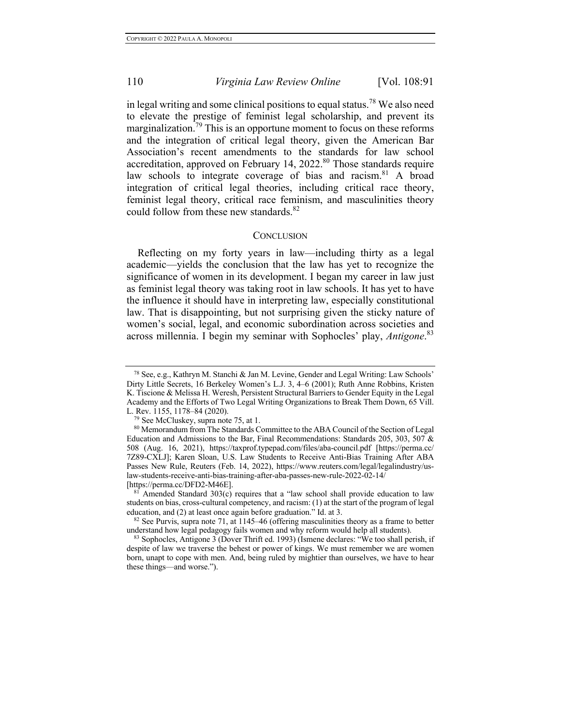in legal writing and some clinical positions to equal status.<sup>78</sup> We also need to elevate the prestige of feminist legal scholarship, and prevent its marginalization.<sup>79</sup> This is an opportune moment to focus on these reforms and the integration of critical legal theory, given the American Bar Association's recent amendments to the standards for law school accreditation, approved on February 14, 2022.<sup>80</sup> Those standards require law schools to integrate coverage of bias and racism.<sup>81</sup> A broad integration of critical legal theories, including critical race theory, feminist legal theory, critical race feminism, and masculinities theory could follow from these new standards.<sup>82</sup>

#### **CONCLUSION**

Reflecting on my forty years in law—including thirty as a legal academic—yields the conclusion that the law has yet to recognize the significance of women in its development. I began my career in law just as feminist legal theory was taking root in law schools. It has yet to have the influence it should have in interpreting law, especially constitutional law. That is disappointing, but not surprising given the sticky nature of women's social, legal, and economic subordination across societies and across millennia. I begin my seminar with Sophocles' play, *Antigone*. 83

<sup>&</sup>lt;sup>78</sup> See, e.g., Kathryn M. Stanchi & Jan M. Levine, Gender and Legal Writing: Law Schools' Dirty Little Secrets, 16 Berkeley Women's L.J. 3, 4–6 (2001); Ruth Anne Robbins, Kristen K. Tiscione & Melissa H. Weresh, Persistent Structural Barriers to Gender Equity in the Legal Academy and the Efforts of Two Legal Writing Organizations to Break Them Down, 65 Vill. L. Rev. 1155, 1178-84 (2020).

<sup>&</sup>lt;sup>79</sup> See McCluskey, supra note 75, at 1.

<sup>&</sup>lt;sup>80</sup> Memorandum from The Standards Committee to the ABA Council of the Section of Legal Education and Admissions to the Bar, Final Recommendations: Standards 205, 303, 507 & 508 (Aug. 16, 2021), https://taxprof.typepad.com/files/aba-council.pdf [https://perma.cc/ 7Z89-CXLJ]; Karen Sloan, U.S. Law Students to Receive Anti-Bias Training After ABA Passes New Rule, Reuters (Feb. 14, 2022), https://www.reuters.com/legal/legalindustry/uslaw-students-receive-anti-bias-training-after-aba-passes-new-rule-2022-02-14/ [https://perma.cc/DFD2-M46E].

Amended Standard  $303(c)$  requires that a "law school shall provide education to law students on bias, cross-cultural competency, and racism: (1) at the start of the program of legal education, and (2) at least once again before graduation." Id. at 3.  $82$  See Purvis, supra note 71, at 1145–46 (offering masculinities theory as a frame to better

understand how legal pedagogy fails women and why reform would help all students).

<sup>83</sup> Sophocles, Antigone 3 (Dover Thrift ed. 1993) (Ismene declares: "We too shall perish, if despite of law we traverse the behest or power of kings. We must remember we are women born, unapt to cope with men. And, being ruled by mightier than ourselves, we have to hear these things—and worse.").